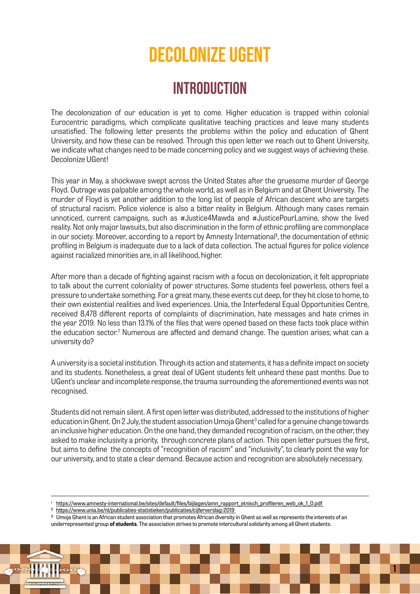# Decolonize ugent

### **INTRODUCTION**

The decolonization of our education is yet to come. Higher education is trapped within colonial Eurocentric paradigms, which complicate qualitative teaching practices and leave many students unsatisfied. The following letter presents the problems within the policy and education of Ghent University, and how these can be resolved. Through this open letter we reach out to Ghent University, we indicate what changes need to be made concerning policy and we suggest ways of achieving these. Decolonize UGent!

This year in May, a shockwave swept across the United States after the gruesome murder of George Floyd. Outrage was palpable among the whole world, as well as in Belgium and at Ghent University. The murder of Floyd is yet another addition to the long list of people of African descent who are targets of structural racism. Police violence is also a bitter reality in Belgium. Although many cases remain unnoticed, current campaigns, such as #Justice4Mawda and #JusticePourLamine, show the lived reality. Not only major lawsuits, but also discrimination in the form of ethnic profiling are commonplace in our society. Moreover, according to a report by Amnesty International1, the documentation of ethnic profiling in Belgium is inadequate due to a lack of data collection. The actual figures for police violence against racialized minorities are, in all likelihood, higher.

After more than a decade of fighting against racism with a focus on decolonization, it felt appropriate to talk about the current coloniality of power structures. Some students feel powerless, others feel a pressure to undertake something. For a great many, these events cut deep, for they hit close to home, to their own existential realities and lived experiences. Unia, the Interfederal Equal Opportunities Centre, received 8,478 different reports of complaints of discrimination, hate messages and hate crimes in the year 2019. No less than 13.1% of the files that were opened based on these facts took place within the education sector.<sup>2</sup> Numerous are affected and demand change. The question arises; what can a university do?

A university is a societal institution. Through its action and statements, it has a definite impact on society and its students. Nonetheless, a great deal of UGent students felt unheard these past months. Due to UGent's unclear and incomplete response, the trauma surrounding the aforementioned events was not recognised.

Students did not remain silent. A first open letter was distributed, addressed to the institutions of higher education in Ghent. On 2 July, the student association Umoja Ghent<sup>3</sup> called for a genuine change towards an inclusive higher education. On the one hand, they demanded recognition of racism, on the other, they asked to make inclusivity a priority, through concrete plans of action. This open letter pursues the first, but aims to define the concepts of "recognition of racism" and "inclusivity", to clearly point the way for our university, and to state a clear demand. Because action and recognition are absolutely necessary.

1 [https://www.amnesty-international.be/sites/default/files/bijlagen/amn\\_rapport\\_etnisch\\_profileren\\_web\\_ok\\_1\\_0.pdf](https://www.amnesty-international.be/sites/default/files/bijlagen/amn_rapport_etnisch_profileren_web_ok_1_0.pdf  ) 

2 [https://www.unia.be/nl/publicaties-statistieken/publicaties/cijferverslag-2019](https://www.unia.be/nl/publicaties-statistieken/publicaties/cijferverslag-2019  ) 

3 Umoja Ghent is an African student association that promotes African diversity in Ghent as well as represents the interests of an underrepresented group **of students**. The association strives to promote intercultural solidarity among all Ghent students.

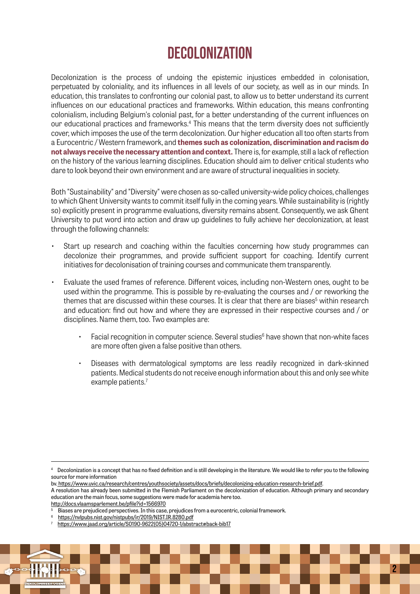# Decolonization

Decolonization is the process of undoing the epistemic injustices embedded in colonisation, perpetuated by coloniality, and its influences in all levels of our society, as well as in our minds. In education, this translates to confronting our colonial past, to allow us to better understand its current influences on our educational practices and frameworks. Within education, this means confronting colonialism, including Belgium's colonial past, for a better understanding of the current influences on our educational practices and frameworks.<sup>4</sup> This means that the term diversity does not sufficiently cover, which imposes the use of the term decolonization. Our higher education all too often starts from a Eurocentric / Western framework, and **themes such as colonization, discrimination and racism do not always receive the necessary attention and context.** There is, for example, still a lack of reflection on the history of the various learning disciplines. Education should aim to deliver critical students who dare to look beyond their own environment and are aware of structural inequalities in society.

Both "Sustainability" and "Diversity" were chosen as so-called university-wide policy choices, challenges to which Ghent University wants to commit itself fully in the coming years. While sustainability is (rightly so) explicitly present in programme evaluations, diversity remains absent. Consequently, we ask Ghent University to put word into action and draw up guidelines to fully achieve her decolonization, at least through the following channels:

- Start up research and coaching within the faculties concerning how study programmes can decolonize their programmes, and provide sufficient support for coaching. Identify current initiatives for decolonisation of training courses and communicate them transparently.
- Evaluate the used frames of reference. Different voices, including non-Western ones, ought to be used within the programme. This is possible by re-evaluating the courses and / or reworking the themes that are discussed within these courses. It is clear that there are biases<sup>5</sup> within research and education: find out how and where they are expressed in their respective courses and / or disciplines. Name them, too. Two examples are:
	- $\cdot$  Facial recognition in computer science. Several studies $^6$  have shown that non-white faces are more often given a false positive than others.
	- Diseases with dermatological symptoms are less readily recognized in dark-skinned patients. Medical students do not receive enough information about this and only see white example patients.<sup>7</sup>

<sup>7</sup> [https://www.jaad.org/article/S0190-9622\(05\)04720-1/abstract#back-bib17](https://www.jaad.org/article/S0190-9622(05)04720-1/abstract#back-bib17)



 $^{\rm 4}$  Decolonization is a concept that has no fixed definition and is still developing in the literature. We would like to refer you to the following source for more information

bv[. https://www.uvic.ca/research/centres/youthsociety/assets/docs/briefs/decolonizing-education-research-brief.pdf.]( https://www.uvic.ca/research/centres/youthsociety/assets/docs/briefs/decolonizing-education-research-brief.pdf)

A resolution has already been submitted in the Flemish Parliament on the decolonization of education. Although primary and secondary education are the main focus, some suggestions were made for academia here too.

[http://docs.vlaamsparlement.be/pfile?id=1566970](http://docs.vlaamsparlement.be/pfile?id=1566970 )

<sup>5</sup> Biases are prejudiced perspectives. In this case, prejudices from a eurocentric, colonial framework.

<sup>6</sup> [https://nvlpubs.nist.gov/nistpubs/ir/2019/NIST.IR.8280.pdf](https://nvlpubs.nist.gov/nistpubs/ir/2019/NIST.IR.8280.pdf )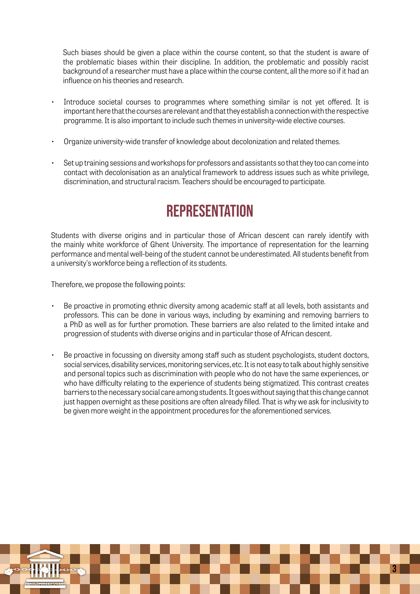Such biases should be given a place within the course content, so that the student is aware of the problematic biases within their discipline. In addition, the problematic and possibly racist background of a researcher must have a place within the course content, all the more so if it had an influence on his theories and research.

- Introduce societal courses to programmes where something similar is not yet offered. It is important here that the courses are relevant and that they establish a connection with the respective programme. It is also important to include such themes in university-wide elective courses.
- Organize university-wide transfer of knowledge about decolonization and related themes.
- Set up training sessions and workshops for professors and assistants so that they too can come into contact with decolonisation as an analytical framework to address issues such as white privilege, discrimination, and structural racism. Teachers should be encouraged to participate.

# **REPRESENTATION**

Students with diverse origins and in particular those of African descent can rarely identify with the mainly white workforce of Ghent University. The importance of representation for the learning performance and mental well-being of the student cannot be underestimated. All students benefit from a university's workforce being a reflection of its students.

Therefore, we propose the following points:

- Be proactive in promoting ethnic diversity among academic staff at all levels, both assistants and professors. This can be done in various ways, including by examining and removing barriers to a PhD as well as for further promotion. These barriers are also related to the limited intake and progression of students with diverse origins and in particular those of African descent.
- Be proactive in focussing on diversity among staff such as student psychologists, student doctors, social services, disability services, monitoring services, etc. It is not easy to talk about highly sensitive and personal topics such as discrimination with people who do not have the same experiences, or who have difficulty relating to the experience of students being stigmatized. This contrast creates barriers to the necessary social care among students. It goes without saying that this change cannot just happen overnight as these positions are often already filled. That is why we ask for inclusivity to be given more weight in the appointment procedures for the aforementioned services.

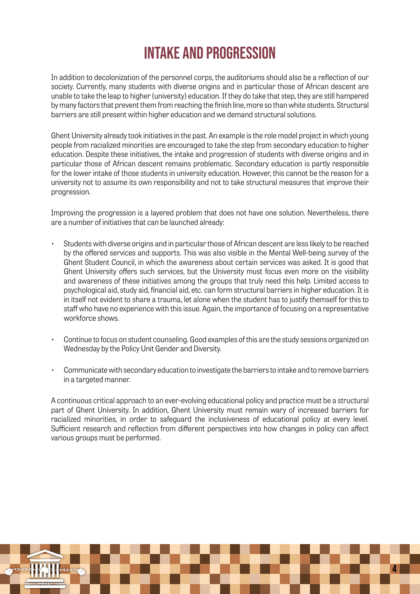# Intake and Progression

In addition to decolonization of the personnel corps, the auditoriums should also be a reflection of our society. Currently, many students with diverse origins and in particular those of African descent are unable to take the leap to higher (university) education. If they do take that step, they are still hampered by many factors that prevent them from reaching the finish line, more so than white students. Structural barriers are still present within higher education and we demand structural solutions.

Ghent University already took initiatives in the past. An example is the role model project in which young people from racialized minorities are encouraged to take the step from secondary education to higher education. Despite these initiatives, the intake and progression of students with diverse origins and in particular those of African descent remains problematic. Secondary education is partly responsible for the lower intake of those students in university education. However, this cannot be the reason for a university not to assume its own responsibility and not to take structural measures that improve their progression.

Improving the progression is a layered problem that does not have one solution. Nevertheless, there are a number of initiatives that can be launched already:

- Students with diverse origins and in particular those of African descent are less likely to be reached by the offered services and supports. This was also visible in the Mental Well-being survey of the Ghent Student Council, in which the awareness about certain services was asked. It is good that Ghent University offers such services, but the University must focus even more on the visibility and awareness of these initiatives among the groups that truly need this help. Limited access to psychological aid, study aid, financial aid, etc. can form structural barriers in higher education. It is in itself not evident to share a trauma, let alone when the student has to justify themself for this to staff who have no experience with this issue. Again, the importance of focusing on a representative workforce shows.
- Continue to focus on student counseling. Good examples of this are the study sessions organized on Wednesday by the Policy Unit Gender and Diversity.
- Communicate with secondary education to investigate the barriers to intake and to remove barriers in a targeted manner.

A continuous critical approach to an ever-evolving educational policy and practice must be a structural part of Ghent University. In addition, Ghent University must remain wary of increased barriers for racialized minorities, in order to safeguard the inclusiveness of educational policy at every level. Sufficient research and reflection from different perspectives into how changes in policy can affect various groups must be performed.

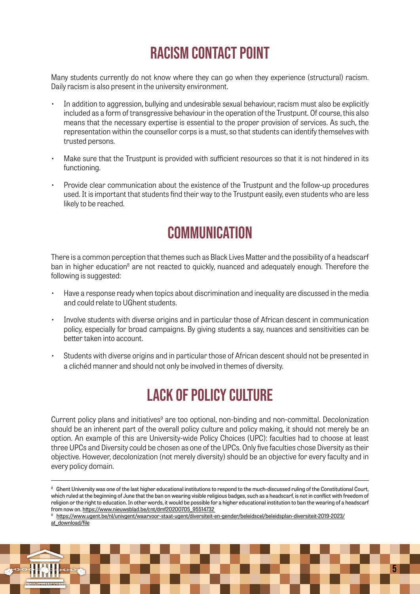# Racism contact point

Many students currently do not know where they can go when they experience (structural) racism. Daily racism is also present in the university environment.

- In addition to aggression, bullying and undesirable sexual behaviour, racism must also be explicitly included as a form of transgressive behaviour in the operation of the Trustpunt. Of course, this also means that the necessary expertise is essential to the proper provision of services. As such, the representation within the counsellor corps is a must, so that students can identify themselves with trusted persons.
- Make sure that the Trustpunt is provided with sufficient resources so that it is not hindered in its functioning.
- Provide clear communication about the existence of the Trustpunt and the follow-up procedures used. It is important that students find their way to the Trustpunt easily, even students who are less likely to be reached.

### **COMMUNICATION**

There is a common perception that themes such as Black Lives Matter and the possibility of a headscarf ban in higher education<sup>8</sup> are not reacted to quickly, nuanced and adequately enough. Therefore the following is suggested:

- Have a response ready when topics about discrimination and inequality are discussed in the media and could relate to UGhent students.
- Involve students with diverse origins and in particular those of African descent in communication policy, especially for broad campaigns. By giving students a say, nuances and sensitivities can be better taken into account.
- Students with diverse origins and in particular those of African descent should not be presented in a clichéd manner and should not only be involved in themes of diversity.

# Lack of policy culture

Current policy plans and initiatives<sup>9</sup> are too optional, non-binding and non-committal. Decolonization should be an inherent part of the overall policy culture and policy making, it should not merely be an option. An example of this are University-wide Policy Choices (UPC): faculties had to choose at least three UPCs and Diversity could be chosen as one of the UPCs. Only five faculties chose Diversity as their objective. However, decolonization (not merely diversity) should be an objective for every faculty and in every policy domain.

[https://www.ugent.be/nl/univgent/waarvoor-staat-ugent/diversiteit-en-gender/beleidscel/beleidsplan-diversiteit-2019-2023/](https://www.ugent.be/nl/univgent/waarvoor-staat-ugent/diversiteit-en-gender/beleidscel/beleidsplan-diversiteit-2019-2023/at_download/file ) [at\\_download/file](https://www.ugent.be/nl/univgent/waarvoor-staat-ugent/diversiteit-en-gender/beleidscel/beleidsplan-diversiteit-2019-2023/at_download/file )



<sup>&</sup>lt;sup>8</sup> Ghent University was one of the last higher educational institutions to respond to the much-discussed ruling of the Constitutional Court, which ruled at the beginning of June that the ban on wearing visible religious badges, such as a headscarf, is not in conflict with freedom of religion or the right to education. In other words, it would be possible for a higher educational institution to ban the wearing of a headscarf from now on. https://www.nieuwsblad.be/cnt/dmf20200705\_95514732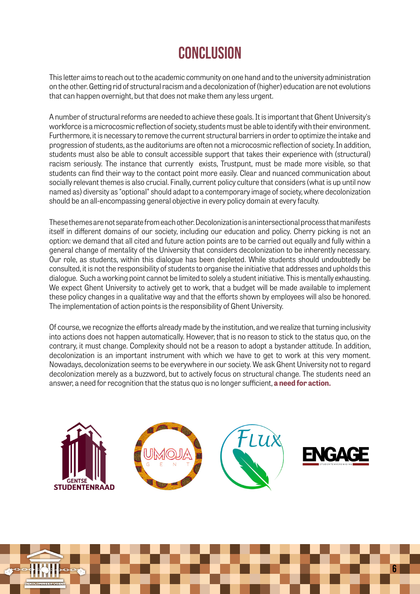# **CONCLUSION**

This letter aims to reach out to the academic community on one hand and to the university administration on the other. Getting rid of structural racism and a decolonization of (higher) education are not evolutions that can happen overnight, but that does not make them any less urgent.

A number of structural reforms are needed to achieve these goals. It is important that Ghent University's workforce is a microcosmic reflection of society, students must be able to identify with their environment. Furthermore, it is necessary to remove the current structural barriers in order to optimize the intake and progression of students, as the auditoriums are often not a microcosmic reflection of society. In addition, students must also be able to consult accessible support that takes their experience with (structural) racism seriously. The instance that currently exists, Trustpunt, must be made more visible, so that students can find their way to the contact point more easily. Clear and nuanced communication about socially relevant themes is also crucial. Finally, current policy culture that considers (what is up until now named as) diversity as "optional" should adapt to a contemporary image of society, where decolonization should be an all-encompassing general objective in every policy domain at every faculty.

These themes are not separate from each other. Decolonization is an intersectional process that manifests itself in different domains of our society, including our education and policy. Cherry picking is not an option: we demand that all cited and future action points are to be carried out equally and fully within a general change of mentality of the University that considers decolonization to be inherently necessary. Our role, as students, within this dialogue has been depleted. While students should undoubtedly be consulted, it is not the responsibility of students to organise the initiative that addresses and upholds this dialogue. Such a working point cannot be limited to solely a student initiative. This is mentally exhausting. We expect Ghent University to actively get to work, that a budget will be made available to implement these policy changes in a qualitative way and that the efforts shown by employees will also be honored. The implementation of action points is the responsibility of Ghent University.

Of course, we recognize the efforts already made by the institution, and we realize that turning inclusivity into actions does not happen automatically. However, that is no reason to stick to the status quo, on the contrary, it must change. Complexity should not be a reason to adopt a bystander attitude. In addition, decolonization is an important instrument with which we have to get to work at this very moment. Nowadays, decolonization seems to be everywhere in our society. We ask Ghent University not to regard decolonization merely as a buzzword, but to actively focus on structural change. The students need an answer, a need for recognition that the status quo is no longer sufficient, **a need for action.**



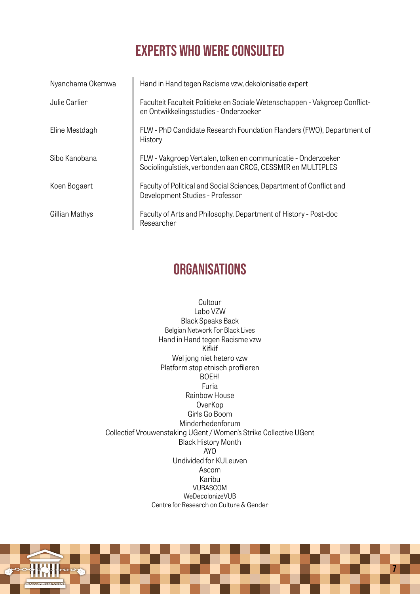### experts who were consulted

| Nyanchama Okemwa | Hand in Hand tegen Racisme vzw, dekolonisatie expert                                                                        |
|------------------|-----------------------------------------------------------------------------------------------------------------------------|
| Julie Carlier    | Faculteit Faculteit Politieke en Sociale Wetenschappen - Vakgroep Conflict-<br>en Ontwikkelingsstudies - Onderzoeker        |
| Eline Mestdagh   | FLW - PhD Candidate Research Foundation Flanders (FWO), Department of<br>History                                            |
| Sibo Kanobana    | FLW - Vakgroep Vertalen, tolken en communicatie - Onderzoeker<br>Sociolinguïstiek, verbonden aan CRCG, CESSMIR en MULTIPLES |
| Koen Bogaert     | Faculty of Political and Social Sciences, Department of Conflict and<br>Development Studies - Professor                     |
| Gillian Mathys   | Faculty of Arts and Philosophy, Department of History - Post-doc<br>Researcher                                              |

#### **ORGANISATIONS**

Cultour Labo VZW Black Speaks Back Belgian Network For Black Lives Hand in Hand tegen Racisme vzw Kifkif Wel jong niet hetero vzw Platform stop etnisch profileren BOEH! Furia Rainbow House OverKop Girls Go Boom Minderhedenforum Collectief Vrouwenstaking UGent / Women's Strike Collective UGent Black History Month AYO Undivided for KULeuven Ascom Karibu VUBASCOM WeDecolonizeVUB Centre for Research on Culture & Gender

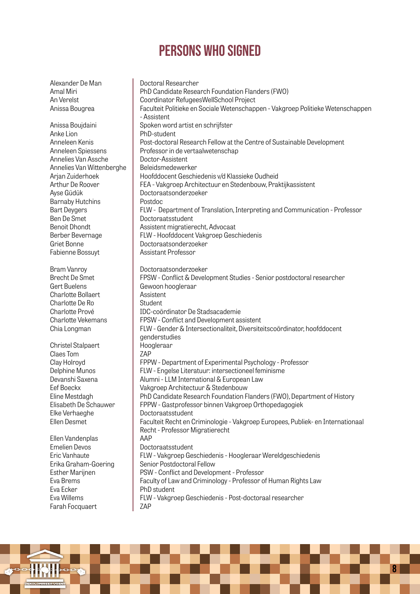Alexander De Man Amal Miri An Verelst Anissa Bougrea

Anissa Boujdaini Anke Lion Anneleen Kenis Anneleen Spiessens Annelies Van Assche Annelies Van Wittenberghe Arjan Zuiderhoek Arthur De Roover Ayse Güdük Barnaby Hutchins Bart Deygers Ben De Smet Benoit Dhondt Berber Bevernage Griet Bonne Fabienne Bossuyt

Bram Vanroy Brecht De Smet Gert Buelens Charlotte Bollaert Charlotte De Ro Charlotte Prové Charlotte Vekemans Chia Longman

Christel Stalpaert Claes Tom Clay Holroyd Delphine Munos Devanshi Saxena Eef Boeckx Eline Mestdagh Elisabeth De Schauwer Elke Verhaeghe Ellen Desmet

Ellen Vandenplas Emelien Devos Eric Vanhaute Erika Graham-Goering Esther Marijnen Eva Brems Eva Ecker Eva Willems Farah Focquaert

Doctoral Researcher PhD Candidate Research Foundation Flanders (FWO) Coordinator RefugeesWellSchool Project Faculteit Politieke en Sociale Wetenschappen - Vakgroep Politieke Wetenschappen - Assistent Spoken word artist en schrijfster PhD-student Post-doctoral Research Fellow at the Centre of Sustainable Development Professor in de vertaalwetenschap Doctor-Assistent Beleidsmedewerker Hoofddocent Geschiedenis v/d Klassieke Oudheid FEA - Vakgroep Architectuur en Stedenbouw, Praktijkassistent Doctoraatsonderzoeker Postdoc FLW - Department of Translation, Interpreting and Communication - Professor Doctoraatsstudent Assistent migratierecht, Advocaat FLW - Hoofddocent Vakgroep Geschiedenis Doctoraatsonderzoeker Assistant Professor Doctoraatsonderzoeker FPSW - Conflict & Development Studies - Senior postdoctoral researcher Gewoon hoogleraar Assistent Student IDC-coördinator De Stadsacademie FPSW - Conflict and Development assistent FLW - Gender & Intersectionaliteit, Diversiteitscoördinator, hoofddocent genderstudies Hoogleraar ZAP FPPW - Department of Experimental Psychology - Professor FLW - Engelse Literatuur: intersectioneel feminisme Alumni - LLM International & European Law Vakgroep Architectuur & Stedenbouw PhD Candidate Research Foundation Flanders (FWO), Department of History FPPW - Gastprofessor binnen Vakgroep Orthopedagogiek Doctoraatsstudent Faculteit Recht en Criminologie - Vakgroep Europees, Publiek- en Internationaal Recht - Professor Migratierecht AAP Doctoraatsstudent FLW - Vakgroep Geschiedenis - Hoogleraar Wereldgeschiedenis Senior Postdoctoral Fellow PSW - Conflict and Development - Professor Faculty of Law and Criminology - Professor of Human Rights Law PhD student FLW - Vakgroep Geschiedenis - Post-doctoraal researcher ZAP

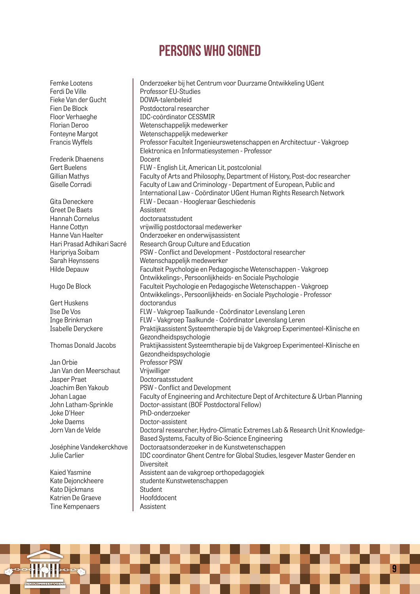Femke Lootens Ferdi De Ville Fieke Van der Gucht Fien De Block Floor Verhaeghe Florian Deroo Fonteyne Margot Francis Wyffels Frederik Dhaenens Gert Buelens Gillian Mathys Giselle Corradi Gita Deneckere Greet De Baets Hannah Cornelus Hanne Cottyn Hanne Van Haelter Hari Prasad Adhikari Sacré Haripriya Soibam Sarah Heynssens Hilde Depauw Hugo De Block Gert Huskens Ilse De Vos Inge Brinkman Isabelle Deryckere Thomas Donald Jacobs Jan Orbie Jan Van den Meerschaut Jasper Praet Joachim Ben Yakoub Johan Lagae John Latham-Sprinkle Joke D'Heer Joke Daems Jorn Van de Velde Joséphine Vandekerckhove Julie Carlier Kaied Yasmine Kate Dejonckheere Kato Dijckmans Katrien De Graeve Tine Kempenaers Onderzoeker bij het Centrum voor Duurzame Ontwikkeling UGent Professor EU-Studies DOWA-talenbeleid Postdoctoral researcher IDC-coördinator CESSMIR Wetenschappelijk medewerker Wetenschappelijk medewerker Professor Faculteit Ingenieurswetenschappen en Architectuur - Vakgroep Elektronica en Informatiesystemen - Professor Docent FLW - English Lit, American Lit, postcolonial Faculty of Arts and Philosophy, Department of History, Post-doc researcher Faculty of Law and Criminology - Department of European, Public and International Law - Coördinator UGent Human Rights Research Network FLW - Decaan - Hoogleraar Geschiedenis Assistent doctoraatsstudent vrijwillig postdoctoraal medewerker Onderzoeker en onderwijsassistent Research Group Culture and Education PSW - Conflict and Development - Postdoctoral researcher Wetenschappelijk medewerker Faculteit Psychologie en Pedagogische Wetenschappen - Vakgroep Ontwikkelings-, Persoonlijkheids- en Sociale Psychologie Faculteit Psychologie en Pedagogische Wetenschappen - Vakgroep Ontwikkelings-, Persoonlijkheids- en Sociale Psychologie - Professor doctorandus FLW - Vakgroep Taalkunde - Coördinator Levenslang Leren FLW - Vakgroep Taalkunde - Coördinator Levenslang Leren Praktijkassistent Systeemtherapie bij de Vakgroep Experimenteel-Klinische en Gezondheidspsychologie Praktijkassistent Systeemtherapie bij de Vakgroep Experimenteel-Klinische en Gezondheidspsychologie Professor PSW Vrijwilliger Doctoraatsstudent PSW - Conflict and Development Faculty of Engineering and Architecture Dept of Architecture & Urban Planning Doctor-assistant (BOF Postdoctoral Fellow) PhD-onderzoeker Doctor-assistent Doctoral researcher, Hydro-Climatic Extremes Lab & Research Unit Knowledge-Based Systems, Faculty of Bio-Science Engineering Doctoraatsonderzoeker in de Kunstwetenschappen IDC coordinator Ghent Centre for Global Studies, lesgever Master Gender en **Diversiteit** Assistent aan de vakgroep orthopedagogiek studente Kunstwetenschappen Student Hoofddocent Assistent

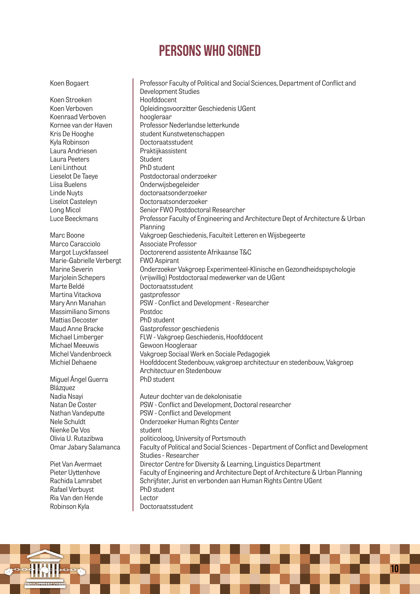Koen Bogaert

Koen Stroeken Koen Verboven Koenraad Verboven Kornee van der Haven Kris De Hooghe Kyla Robinson Laura Andriesen Laura Peeters Leni Linthout Lieselot De Taeye Liisa Buelens Linde Nuyts Liselot Casteleyn Long Micol Luce Beeckmans

Marc Boone Marco Caracciolo Margot Luyckfasseel Marie-Gabrielle Verbergt

Marine Severin Marjolein Schepers Marte Beldé Martina Vitackova Mary Ann Manahan Massimiliano Simons Mattias Decoster Maud Anne Bracke Michael Limberger Michael Meeuwis Michel Vandenbroeck Michiel Dehaene

Miguel Ángel Guerra

Piet Van Avermaet Pieter Uyttenhove Rachida Lamrabet Rafael Verbuyst Ria Van den Hende Robinson Kyla

Blázquez Nadia Nsayi Natan De Coster Nathan Vandeputte Nele Schuldt Nienke De Vos Olivia U. Rutazibwa Omar Jabary Salamanca

Professor Faculty of Political and Social Sciences, Department of Conflict and Development Studies Hoofddocent Opleidingsvoorzitter Geschiedenis UGent hoogleraar Professor Nederlandse letterkunde student Kunstwetenschappen Doctoraatsstudent Praktijkassistent **Student** PhD student Postdoctoraal onderzoeker Onderwijsbegeleider doctoraatsonderzoeker Doctoraatsonderzoeker Senior FWO Postdoctoral Researcher Professor Faculty of Engineering and Architecture Dept of Architecture & Urban Planning Vakgroep Geschiedenis, Faculteit Letteren en Wijsbegeerte Associate Professor Doctorerend assistente Afrikaanse T&C FWO Aspirant Onderzoeker Vakgroep Experimenteel-Klinische en Gezondheidspsychologie (vrijwillig) Postdoctoraal medewerker van de UGent Doctoraatsstudent gastprofessor PSW - Conflict and Development - Researcher Postdoc PhD student Gastprofessor geschiedenis FLW - Vakgroep Geschiedenis, Hoofddocent Gewoon Hoogleraar Vakgroep Sociaal Werk en Sociale Pedagogiek Hoofddocent Stedenbouw, vakgroep architectuur en stedenbouw, Vakgroep Architectuur en Stedenbouw PhD student Auteur dochter van de dekolonisatie PSW - Conflict and Development, Doctoral researcher PSW - Conflict and Development Onderzoeker Human Rights Center student politicoloog, University of Portsmouth Faculty of Political and Social Sciences - Department of Conflict and Development Studies - Researcher Director Centre for Diversity & Learning, Linguistics Department Faculty of Engineering and Architecture Dept of Architecture & Urban Planning Schrijfster, Jurist en verbonden aan Human Rights Centre UGent PhD student Lector Doctoraatsstudent

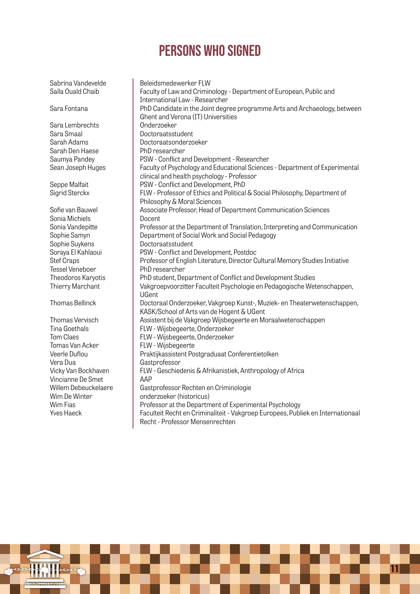Sabrina Vandevelde Saïla Ouald Chaib

Sara Fontana

Sara Lembrechts Sara Smaal Sarah Adams Sarah Den Haese Saumya Pandey Sean Joseph Huges

Seppe Malfait Sigrid Sterckx

Sofie van Bauwel Sonia Michiels Sonia Vandepitte Sophie Samyn Sophie Suykens Soraya El Kahlaoui Stef Craps Tessel Veneboer Theodoros Karyotis Thierry Marchant

Thomas Bellinck

Thomas Vervisch Tina Goethals Tom Claes Tomas Van Acker Veerle Duflou Vera Dua Vicky Van Bockhaven Vincianne De Smet Willem Debeuckelaere Wim De Winter Wim Fias Yves Haeck

Beleidsmedewerker FLW Faculty of Law and Criminology - Department of European, Public and International Law - Researcher PhD Candidate in the Joint degree programme Arts and Archaeology, between Ghent and Verona (IT) Universities Onderzoeker Doctoraatsstudent Doctoraatsonderzoeker PhD researcher PSW - Conflict and Development - Researcher Faculty of Psychology and Educational Sciences - Department of Experimental clinical and health psychology - Professor PSW - Conflict and Development, PhD FLW - Professor of Ethics and Political & Social Philosophy, Department of Philosophy & Moral Sciences Associate Professor, Head of Department Communication Sciences Docent Professor at the Department of Translation, Interpreting and Communication Department of Social Work and Social Pedagogy Doctoraatsstudent PSW - Conflict and Development, Postdoc Professor of English Literature, Director Cultural Memory Studies Initiative PhD researcher PhD student, Department of Conflict and Development Studies Vakgroepvoorzitter Faculteit Psychologie en Pedagogische Wetenschappen, UGent Doctoraal Onderzoeker, Vakgroep Kunst-, Muziek- en Theaterwetenschappen, KASK/School of Arts van de Hogent & UGent Assistent bij de Vakgroep Wijsbegeerte en Moraalwetenschappen FLW - Wijsbegeerte, Onderzoeker FLW - Wijsbegeerte, Onderzoeker FLW - Wijsbegeerte Praktijkassistent Postgraduaat Conferentietolken Gastprofessor FLW - Geschiedenis & Afrikanistiek, Anthropology of Africa AAP Gastprofessor Rechten en Criminologie onderzoeker (historicus) Professor at the Department of Experimental Psychology Faculteit Recht en Criminaliteit - Vakgroep Europees, Publiek en Internationaal Recht - Professor Mensenrechten

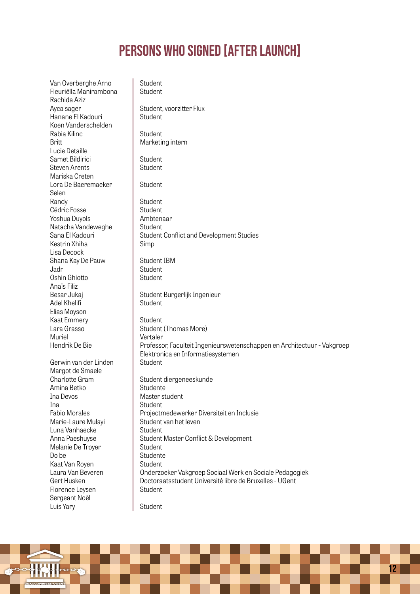Van Overberghe Arno Fleuriëlla Manirambona Rachida Aziz Ayca sager Hanane El Kadouri Koen Vanderschelden Rabia Kilinc **Britt** Lucie Detaille Samet Bildirici Steven Arents Mariska Creten Lora De Baeremaeker Selen Randy Cédric Fosse Yoshua Duyols Natacha Vandeweghe Sana El Kadouri Kestrin Xhiha Lisa Decock Shana Kay De Pauw Jadr Oshin Ghiotto Anaïs Filiz Besar Jukaj Adel Khelifi Elias Moyson Kaat Emmery Lara Grasso Muriel Hendrik De Bie Gerwin van der Linden Margot de Smaele Charlotte Gram Amina Betko Ina Devos Ina Fabio Morales Marie-Laure Mulayi Luna Vanhaecke Anna Paeshuyse Melanie De Troyer Do be Kaat Van Royen Laura Van Beveren Gert Husken Florence Leysen Sergeant Noël Luis Yary **Student Student** Student, voorzitter Flux **Student Student** Marketing intern **Student Student** Student Student Student Ambtenaar **Student** Student Conflict and Development Studies Simp Student IBM **Student Student** Student Burgerlijk Ingenieur Student Student Student (Thomas More) Vertaler Professor, Faculteit Ingenieurswetenschappen en Architectuur - Vakgroep Elektronica en Informatiesystemen **Student** Student diergeneeskunde **Studente** Master student **Student** Projectmedewerker Diversiteit en Inclusie Student van het leven **Student** Student Master Conflict & Development **Student** Studente Student Onderzoeker Vakgroep Sociaal Werk en Sociale Pedagogiek Doctoraatsstudent Université libre de Bruxelles - UGent Student **Student** 

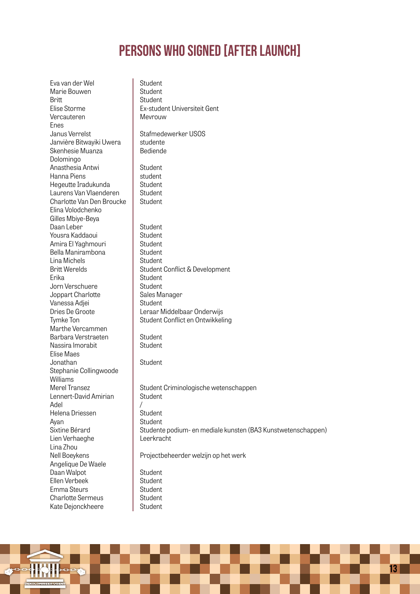| Eva van der Wel                    | Student                                                      |
|------------------------------------|--------------------------------------------------------------|
| Marie Bouwen                       | Student                                                      |
| Britt                              | Student                                                      |
| Elise Storme                       | Ex-student Universiteit Gent                                 |
| Vercauteren                        | Mevrouw                                                      |
| Enes                               |                                                              |
| Janus Verrelst                     | Stafmedewerker USOS                                          |
| Janvière Bitwayiki Uwera           | studente                                                     |
| Skenhesie Muanza                   | Bediende                                                     |
| Dolomingo                          |                                                              |
| Anasthesia Antwi                   | Student                                                      |
| Hanna Piens                        | student                                                      |
| Hegeutte Iradukunda                | Student                                                      |
| Laurens Van Vlaenderen             | Student                                                      |
| Charlotte Van Den Broucke          | Student                                                      |
| Elina Volodchenko                  |                                                              |
| Gilles Mbiye-Beya                  |                                                              |
| Daan Leber                         | Student                                                      |
| Yousra Kaddaoui                    | Student                                                      |
| Amira El Yaghmouri                 | Student                                                      |
| Bella Manirambona<br>Lina Michels  | Student                                                      |
| <b>Britt Werelds</b>               | Student                                                      |
|                                    | Student Conflict & Development                               |
| Erika<br>Jorn Verschuere           | Student<br>Student                                           |
|                                    | Sales Manager                                                |
| Joppart Charlotte<br>Vanessa Adjei | Student                                                      |
| Dries De Groote                    | Leraar Middelbaar Onderwijs                                  |
| Tymke Ton                          | Student Conflict en Ontwikkeling                             |
| Marthe Vercammen                   |                                                              |
| Barbara Verstraeten                | Student                                                      |
| Nassira Imorabit                   | Student                                                      |
| Elise Maes                         |                                                              |
| Jonathan                           | Student                                                      |
| Stephanie Collingwoode             |                                                              |
| Williams                           |                                                              |
| Merel Transez                      | Student Criminologische wetenschappen                        |
| Lennert-David Amirian              | Student                                                      |
| Adel                               |                                                              |
| Helena Driessen                    | Student                                                      |
| Ayan                               | Student                                                      |
| Sixtine Bérard                     | Studente podium- en mediale kunsten (BA3 Kunstwetenschappen) |
| Lien Verhaeghe                     | Leerkracht                                                   |
| Lina Zhou                          |                                                              |
| Nell Boeykens                      | Projectbeheerder welzijn op het werk                         |
| Angelique De Waele                 |                                                              |
| Daan Walpot                        | Student                                                      |
| Ellen Verbeek                      | Student                                                      |
| Emma Steurs                        | Student                                                      |
| <b>Charlotte Sermeus</b>           | Student                                                      |
| Kate Dejonckheere                  | Student                                                      |
|                                    |                                                              |

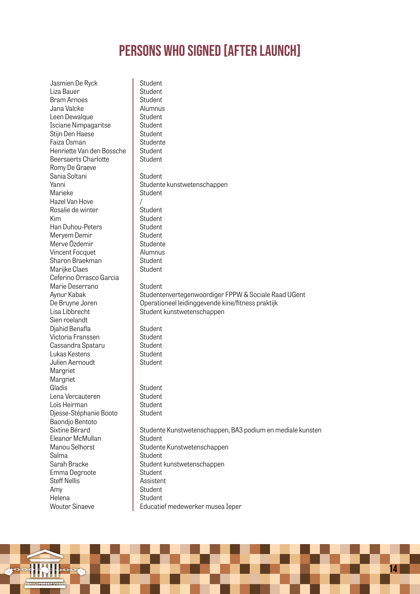| Jasmien De Ryck           | Student                                                    |
|---------------------------|------------------------------------------------------------|
| Liza Bauer                | Student                                                    |
| <b>Bram Arnoes</b>        | Student                                                    |
| Jana Valcke               | Alumnus                                                    |
| Leen Dewalque             | Student                                                    |
| Isciane Nimpagaritse      | Student                                                    |
| Stijn Den Haese           | Student                                                    |
| Faiza Osman               | Studente                                                   |
| Henriette Van den Bossche | Student                                                    |
| Beersaerts Charlotte      | Student                                                    |
| Romy De Graeve            |                                                            |
| Sania Soltani             | Student                                                    |
| Yanni                     | Studente kunstwetenschappen                                |
| Marieke                   | Student                                                    |
| Hazel Van Hove            | $\sqrt{2}$                                                 |
| Rosalie de winter         | Student                                                    |
| Kim                       | Student                                                    |
| Han Duhou-Peters          | Student                                                    |
| Meryem Demir              | Student                                                    |
| Merve Özdemir             | Studente                                                   |
| Vincent Focquet           | Alumnus                                                    |
| Sharon Braekman           | Student                                                    |
| Marijke Claes             | Student                                                    |
| Ceferino Orrasco Garcia   |                                                            |
| Marie Deserrano           | Student                                                    |
| Aynur Kabak               | Studentenvertegenwoordiger FPPW & Sociale Raad UGent       |
| De Bruyne Joren           | Operationeel leidinggevende kine/fitness praktijk          |
| Lisa Libbrecht            | Student kunstwetenschappen                                 |
| Sien roelandt             |                                                            |
| Djahid Benafla            | Student                                                    |
| Victoria Franssen         | Student                                                    |
| Cassandra Spataru         | Student                                                    |
| Lukas Kestens             | Student                                                    |
| Julien Aernoudt           | Student                                                    |
| Margriet                  |                                                            |
| Margriet                  |                                                            |
| Gladis                    | Student                                                    |
| Lena Vercauteren          | Student                                                    |
| Loïs Heirman              | Student                                                    |
| Djesse-Stéphanie Booto    | Student                                                    |
| Baondjo Bentoto           |                                                            |
| Sixtine Bérard            | Studente Kunstwetenschappen, BA3 podium en mediale kunsten |
| Eleanor McMullan          | Student                                                    |
| Manou Selhorst            | Studente Kunstwetenschappen                                |
| Salma                     | Student                                                    |
| Sarah Bracke              | Student kunstwetenschappen                                 |
| Emma Degroote             | Student                                                    |
| <b>Steff Nellis</b>       | Assistent                                                  |
| Amy                       | Student                                                    |
| Helena                    | Student                                                    |
| <b>Wouter Sinaeve</b>     | Educatief medewerker musea Ieper                           |

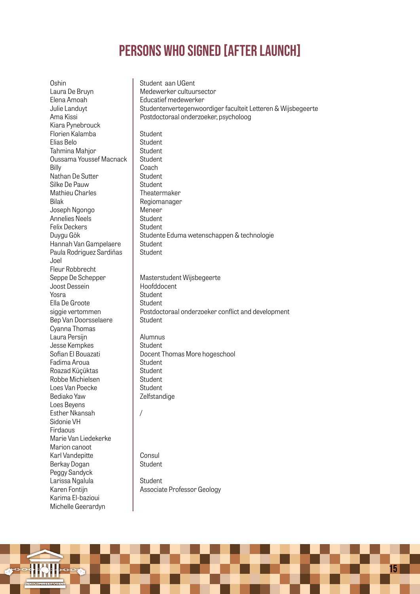Oshin Laura De Bruyn Elena Amoah Julie Landuyt Ama Kissi Kiara Pynebrouck Florien Kalamba Elias Belo Tahmina Mahjor Oussama Youssef Macnack Billy Nathan De Sutter Silke De Pauw Mathieu Charles Bilak Joseph Ngongo Annelies Neels Felix Deckers Duygu Gök Hannah Van Gampelaere Paula Rodriguez Sardiñas Joel Fleur Robbrecht Seppe De Schepper Joost Dessein Yosra Ella De Groote siggie vertommen Bep Van Doorsselaere Cyanna Thomas Laura Persijn Jesse Kempkes Sofian El Bouazati Fadima Aroua Roazad Küçüktas Robbe Michielsen Loes Van Poecke Bediako Yaw Loes Beyens Esther Nkansah Sidonie VH Firdaous Marie Van Liedekerke Marion canoot Karl Vandepitte Berkay Dogan Peggy Sandyck Larissa Ngalula Karen Fontijn Karima El-bazioui Michelle Geerardyn Student aan UGent Medewerker cultuursector Educatief medewerker Studentenvertegenwoordiger faculteit Letteren & Wijsbegeerte Postdoctoraal onderzoeker, psycholoog Student **Student Student Student** Coach **Student** Student Theatermaker Regiomanager Meneer **Student Student** Studente Eduma wetenschappen & technologie **Student** Student Masterstudent Wijsbegeerte Hoofddocent **Student** Student Postdoctoraal onderzoeker conflict and development Student Alumnus **Student** Docent Thomas More hogeschool **Student** Student Student Student Zelfstandige / Consul Student **Student** Associate Professor Geology

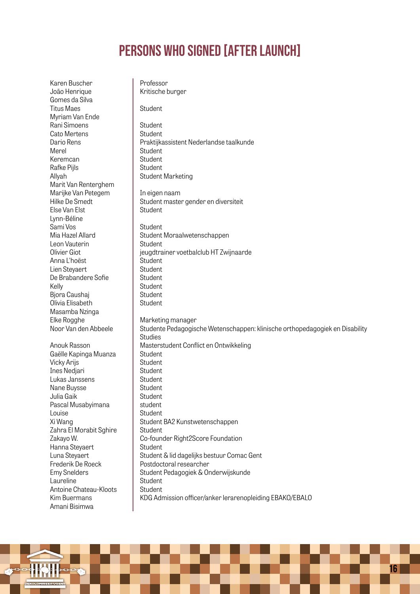Karen Buscher João Henrique Gomes da Silva Titus Maes Myriam Van Ende Rani Simoens Cato Mertens Dario Rens Merel Keremcan Rafke Pijls Allyah Marit Van Renterghem Marijke Van Petegem Hilke De Smedt Else Van Elst Lynn-Béline Sami Vos Mia Hazel Allard Leon Vauterin Olivier Giot Anna L'hoëst Lien Steyaert De Brabandere Sofie Kelly Bjora Caushaj Olivia Elisabeth Masamba Nzinga Elke Rogghe Noor Van den Abbeele Anouk Rasson Gaëlle Kapinga Muanza Vicky Arijs Ines Nedjari Lukas Janssens Nane Buysse Julia Gaik Pascal Musabyimana Louise Xi Wang Zahra El Morabit Sghire Zakayo W. Hanna Steyaert Luna Steyaert Frederik De Roeck Emy Snelders Laureline Antoine Chateau-Kloots Kim Buermans Amani Bisimwa

Professor Kritische burger Student **Student Student** Praktijkassistent Nederlandse taalkunde Student **Student Student** Student Marketing In eigen naam Student master gender en diversiteit **Student Student** Student Moraalwetenschappen **Student** jeugdtrainer voetbalclub HT Zwijnaarde Student **Student** Student **Student Student** Student Marketing manager Studente Pedagogische Wetenschappen: klinische orthopedagogiek en Disability **Studies** Masterstudent Conflict en Ontwikkeling **Student Student** Student Student **Student Student** student Student Student BA2 Kunstwetenschappen Student Co-founder Right2Score Foundation **Student** Student & lid dagelijks bestuur Comac Gent Postdoctoral researcher Student Pedagogiek & Onderwijskunde **Student** Student KDG Admission officer/anker lerarenopleiding EBAKO/EBALO

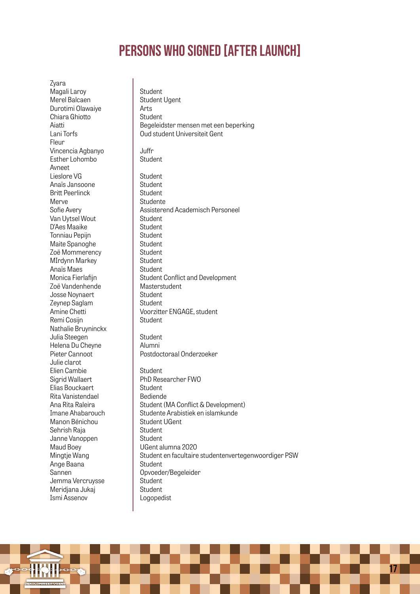Zyara Magali Laroy Merel Balcaen Durotimi Olawaiye Chiara Ghiotto Aiatti Lani Torfs Fleur Vincencia Agbanyo Esther Lohombo Avneet Lieslore VG Anaïs Jansoone Britt Peerlinck Merve Sofie Avery Van Uytsel Wout D'Aes Maaike Tonniau Pepijn Maite Spanoghe Zoë Mommerency MIrdynn Markey Anaïs Maes Monica Fierlafijn Zoë Vandenhende Josse Noynaert Zeynep Saglam Amine Chetti Remi Cosijn Nathalie Bruyninckx Julia Steegen Helena Du Cheyne Pieter Cannoot Julie clarot Elien Cambie Sigrid Wallaert Elias Bouckaert Rita Vanistendael Ana Rita Raleira Imane Ahabarouch Manon Bénichou Sehrish Raja Janne Vanoppen Maud Boey Mingtje Wang Ange Baana Sannen Jemma Vercruysse Meridjana Jukaj Ismi Assenov

Student Student Ugent Arts Student Begeleidster mensen met een beperking Oud student Universiteit Gent Juffr **Student Student** Student **Student Studente** Assisterend Academisch Personeel **Student Student Student Student** Student **Student Student** Student Conflict and Development Masterstudent **Student** Student Voorzitter ENGAGE, student Student Student Alumni Postdoctoraal Onderzoeker Student PhD Researcher FWO Student Bediende Student (MA Conflict & Development) Studente Arabistiek en islamkunde Student UGent Student Student UGent alumna 2020 Student en facultaire studentenvertegenwoordiger PSW **Student** Opvoeder/Begeleider **Student** Student Logopedist

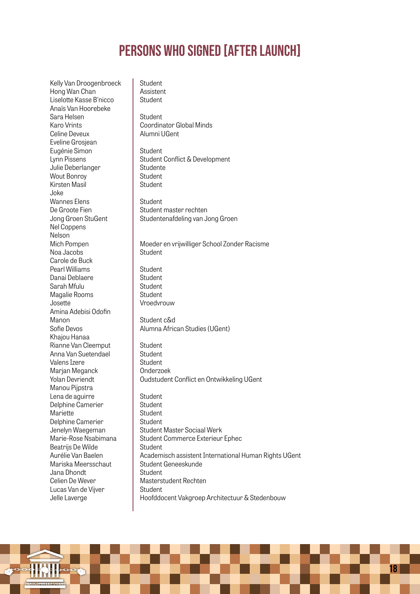Student

Kelly Van Droogenbroeck Hong Wan Chan Liselotte Kasse B'nicco Anaïs Van Hoorebeke Sara Helsen Karo Vrints Celine Deveux Eveline Grosjean Eugénie Simon Lynn Pissens Julie Deberlanger Wout Bonroy Kirsten Masil Joke Wannes Elens De Groote Fien Jong Groen StuGent Nel Coppens Nelson Mich Pompen Noa Jacobs Carole de Buck Pearl Williams Danai Deblaere Sarah Mfulu Magalie Rooms Josette Amina Adebisi Odofin Manon Sofie Devos Khajou Hanaa Rianne Van Cleemput Anna Van Suetendael Valens Izere Marjan Meganck Yolan Devriendt Manou Pijpstra Lena de aguirre Delphine Camerier Mariette Delphine Camerier Jenelyn Waegeman Marie-Rose Nsabimana Beatrijs De Wilde Aurélie Van Baelen Mariska Meersschaut Jana Dhondt Celien De Wever Lucas Van de Vijver Jelle Laverge

Assistent **Student Student** Coordinator Global Minds Alumni UGent Student Student Conflict & Development Studente **Student** Student Student Student master rechten Studentenafdeling van Jong Groen Moeder en vrijwilliger School Zonder Racisme **Student Student** Student **Student Student** Vroedvrouw Student c&d Alumna African Studies (UGent) Student Student **Student** Onderzoek Oudstudent Conflict en Ontwikkeling UGent **Student Student** Student **Student** Student Master Sociaal Werk Student Commerce Exterieur Ephec **Student** Academisch assistent International Human Rights UGent Student Geneeskunde **Student** Masterstudent Rechten Student Hoofddocent Vakgroep Architectuur & Stedenbouw

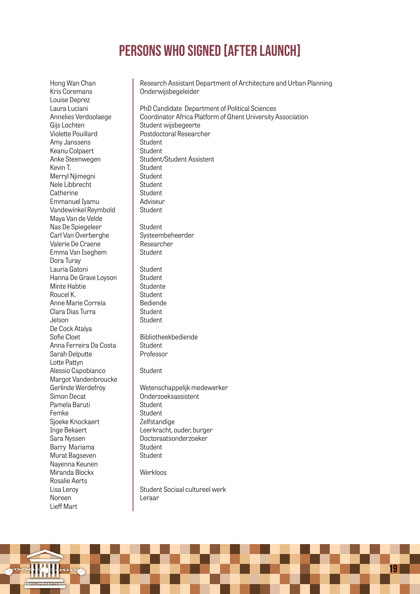Hong Wan Chan Kris Coremans Louise Deprez Laura Luciani Annelies Verdoolaege Gijs Lochten Violette Pouillard Amy Janssens Keanu Colpaert Anke Steenwegen Kevin T. Merryl Njimegni Nele Libbrecht **Catherine** Emmanuel Iyamu Vandewinkel Reymbold Maya Van de Velde Nas De Spiegeleer Carl Van Overberghe Valerie De Craene Emma Van Iseghem Dora Turay Lauria Gatoni Hanna De Grave Loyson Minte Habtie Roucel K. Anne Marie Correia Clara Dias Turra Jelson De Cock Atalya Sofie Cloet Anna Ferreira Da Costa Sarah Delputte Lotte Pattyn Alessio Capobianco Margot Vandenbroucke Gerlinde Werdefroy Simon Decat Pamela Baruti Femke Sjoeke Knockaert Inge Bekaert Sara Nyssen Barry Mariama Murat Bagseven Nayenna Keunen Miranda Blockx Rosalie Aerts Lisa Leroy Noreen Lieff Mart

Research Assistant Department of Architecture and Urban Planning Onderwijsbegeleider PhD Candidate Department of Political Sciences Coordinator Africa Platform of Ghent University Association Student wijsbegeerte Postdoctoral Researcher **Student Student** Student/Student Assistent Student **Student** Student Student Adviseur Student **Student** Systeembeheerder Researcher Student **Student** Student Studente **Student** Bediende **Student** Student Bibliotheekbediende **Student** Professor Student Wetenschappelijk medewerker Onderzoeksassistent Student Student **Zelfstandige** Leerkracht, ouder, burger Doctoraatsonderzoeker **Student Student** Werkloos Student Sociaal cultureel werk Leraar

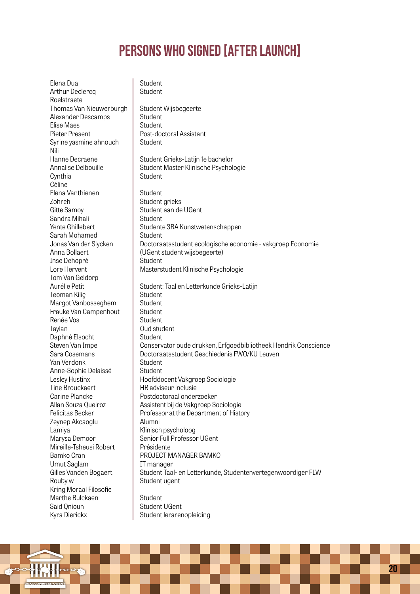Elena Dua Arthur Declercq Roelstraete Thomas Van Nieuwerburgh Alexander Descamps Elise Maes Pieter Present Syrine yasmine ahnouch Nili Hanne Decraene Annalise Delbouille **Cynthia** Céline Elena Vanthienen Zohreh Gitte Samoy Sandra Mihali Yente Ghillebert Sarah Mohamed Jonas Van der Slycken Anna Bollaert Inse Dehopré Lore Hervent Tom Van Geldorp Aurélie Petit Teoman Kiliç Margot Vanbosseghem Frauke Van Campenhout Renée Vos Taylan Daphné Elsocht Steven Van Impe Sara Cosemans Yan Verdonk Anne-Sophie Delaissé Lesley Hustinx Tine Brouckaert Carine Plancke Allan Souza Queiroz Felicitas Becker Zeynep Akcaoglu Lamiya Marysa Demoor Mireille-Tsheusi Robert Bamko Cran Umut Saglam Gilles Vanden Bogaert Rouby w Kring Moraal Filosofie Marthe Bulckaen Said Qnioun Kyra Dierickx **Student Student** Student Wijsbegeerte **Student Student** Post-doctoral Assistant **Student** Student Grieks-Latijn 1e bachelor Student Master Klinische Psychologie **Student Student** Student grieks Student aan de UGent **Student** Studente 3BA Kunstwetenschappen **Student** Doctoraatsstudent ecologische economie - vakgroep Economie (UGent student wijsbegeerte) **Student** Masterstudent Klinische Psychologie Student: Taal en Letterkunde Grieks-Latijn **Student** Student **Student Student** Oud student Student Conservator oude drukken, Erfgoedbibliotheek Hendrik Conscience Doctoraatsstudent Geschiedenis FWO/KU Leuven Student **Student** Hoofddocent Vakgroep Sociologie HR adviseur inclusie Postdoctoraal onderzoeker Assistent bij de Vakgroep Sociologie Professor at the Department of History Alumni Klinisch psycholoog Senior Full Professor UGent Présidente PROJECT MANAGER BAMKO IT manager Student Taal- en Letterkunde, Studentenvertegenwoordiger FLW Student ugent **Student** Student UGent Student lerarenopleiding